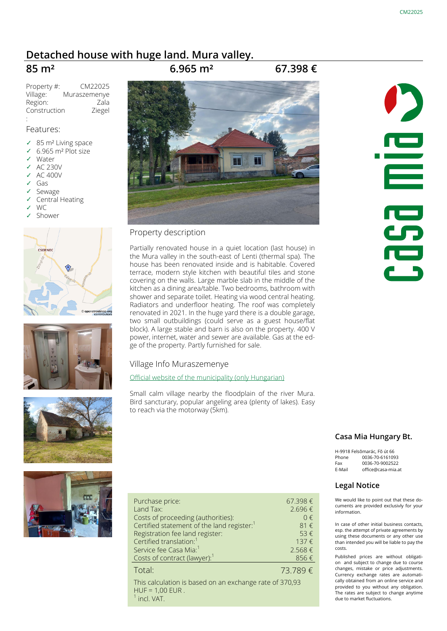# **[Detached house with huge land. Mura valley.](http://www.casa-mia.at/cottages-for-sale-in-hungary.phtml?property=3230)**

# **85 m² 6.965 m² 67.398 €**

Property #: CM22025 Village: Muraszemenye Region: Zala **Construction** Ziegel

### Features:

:

- ✓ 85 m² Living space
- ✓ 6.965 m² Plot size
- Water
- ✓ AC 230V
- ✓ AC 400V
- Gas
- **Sewage**
- ✓ Central Heating
- W<sub>C</sub> Shower
- CERNEC treetmap.org









### Property description

Partially renovated house in a quiet location (last house) in the Mura valley in the south-east of Lenti (thermal spa). The house has been renovated inside and is habitable. Covered terrace, modern style kitchen with beautiful tiles and stone covering on the walls. Large marble slab in the middle of the kitchen as a dining area/table. Two bedrooms, bathroom with shower and separate toilet. Heating via wood central heating. Radiators and underfloor heating. The roof was completely renovated in 2021. In the huge yard there is a double garage, two small outbuildings (could serve as a guest house/flat block). A large stable and barn is also on the property. 400 V power, internet, water and sewer are available. Gas at the edge of the property. Partly furnished for sale.

### Village Info Muraszemenye

[Official website of the municipality \(only Hungarian\)](http://www.szemenye.uw.hu)

Small calm village nearby the floodplain of the river Mura. Bird sancturary, popular angeling area (plenty of lakes). Easy to reach via the motorway (5km).

| Purchase price:                                        | 67.398€     |
|--------------------------------------------------------|-------------|
| Land Tax:                                              | 2.696€      |
| Costs of proceeding (authorities):                     | $0 \in$     |
| Certified statement of the land register: <sup>1</sup> | $81 \notin$ |
| Registration fee land register:                        | 53€         |
| Certified translation: <sup>1</sup>                    | 137€        |
| Service fee Casa Mia: <sup>1</sup>                     | 2.568€      |
| Costs of contract (lawyer): <sup>1</sup>               | 856€        |
| Total <sup>-</sup>                                     | 73.789€     |

This calculation is based on an exchange rate of 370,93 HUF = 1,00 EUR . 1 incl. VAT.



### **Casa Mia Hungary Bt.**

H-9918 Felsõmarác, Fõ út 66 Phone 0036-70-6161093 Fax 0036-70-9002522 E-Mail office@casa-mia.at

### **Legal Notice**

We would like to point out that these documents are provided exclusivly for your information.

In case of other initial business contacts, esp. the attempt of private agreements by using these documents or any other use than intended you will be liable to pay the costs.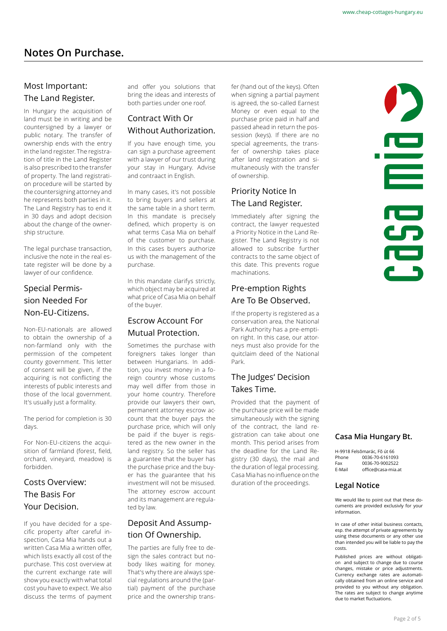# Most Important: The Land Register.

In Hungary the acquisition of land must be in writing and be countersigned by a lawyer or public notary. The transfer of ownership ends with the entry in the land register. The registration of title in the Land Register is also prescribed to the transfer of property. The land registration procedure will be started by the countersigning attorney and he represents both parties in it. The Land Registry has to end it in 30 days and adopt decision about the change of the ownership structure.

The legal purchase transaction, inclusive the note in the real estate register will be done by a lawyer of our confidence.

# Special Permission Needed For Non-EU-Citizens.

Non-EU-nationals are allowed to obtain the ownership of a non-farmland only with the permission of the competent county government. This letter of consent will be given, if the acquiring is not conflicting the interests of public interests and those of the local government. It's usually just a formality.

The period for completion is 30 days.

For Non-EU-citizens the acquisition of farmland (forest, field, orchard, vineyard, meadow) is forbidden.

# Costs Overview: The Basis For Your Decision.

If you have decided for a specific property after careful inspection, Casa Mia hands out a written Casa Mia a written offer, which lists exactly all cost of the purchase. This cost overview at the current exchange rate will show you exactly with what total cost you have to expect. We also discuss the terms of payment and offer you solutions that bring the ideas and interests of both parties under one roof.

## Contract With Or Without Authorization.

If you have enough time, you can sign a purchase agreement with a lawyer of our trust during your stay in Hungary. Advise and contraact in English.

In many cases, it's not possible to bring buyers and sellers at the same table in a short term. In this mandate is precisely defined, which property is on what terms Casa Mia on behalf of the customer to purchase. In this cases buyers authorize us with the management of the purchase.

In this mandate clarifys strictly, which object may be acquired at what price of Casa Mia on behalf of the buyer.

## Escrow Account For Mutual Protection.

Sometimes the purchase with foreigners takes longer than between Hungarians. In addition, you invest money in a foreign country whose customs may well differ from those in your home country. Therefore provide our lawyers their own, permanent attorney escrow account that the buyer pays the purchase price, which will only be paid if the buyer is registered as the new owner in the land registry. So the seller has a guarantee that the buyer has the purchase price and the buyer has the guarantee that his investment will not be misused. The attorney escrow account and its management are regulated by law.

## Deposit And Assumption Of Ownership.

The parties are fully free to design the sales contract but nobody likes waiting for money. That's why there are always special regulations around the (partial) payment of the purchase price and the ownership transfer (hand out of the keys). Often when signing a partial payment is agreed, the so-called Earnest Money or even equal to the purchase price paid in half and passed ahead in return the possession (keys). If there are no special agreements, the transfer of ownership takes place after land registration and simultaneously with the transfer of ownership.

# Priority Notice In The Land Register.

Immediately after signing the contract, the lawyer requested a Priority Notice in the Land Register. The Land Registry is not allowed to subscribe further contracts to the same object of this date. This prevents rogue machinations.

## Pre-emption Rights Are To Be Observed.

If the property is registered as a conservation area, the National Park Authority has a pre-emption right. In this case, our attorneys must also provide for the quitclaim deed of the National Park.

## The Judges' Decision Takes Time.

Provided that the payment of the purchase price will be made simultaneously with the signing of the contract, the land registration can take about one month. This period arises from the deadline for the Land Registry (30 days), the mail and the duration of legal processing. Casa Mia has no influence on the duration of the proceedings.



### **Casa Mia Hungary Bt.**

|        | H-9918 Felsõmarác. Fő út 66 |
|--------|-----------------------------|
| Phone  | 0036-70-6161093             |
| Fax    | 0036-70-9002522             |
| E-Mail | office@casa-mia.at          |
|        |                             |

#### **Legal Notice**

We would like to point out that these documents are provided exclusivly for your information.

In case of other initial business contacts, esp. the attempt of private agreements by using these documents or any other use than intended you will be liable to pay the costs.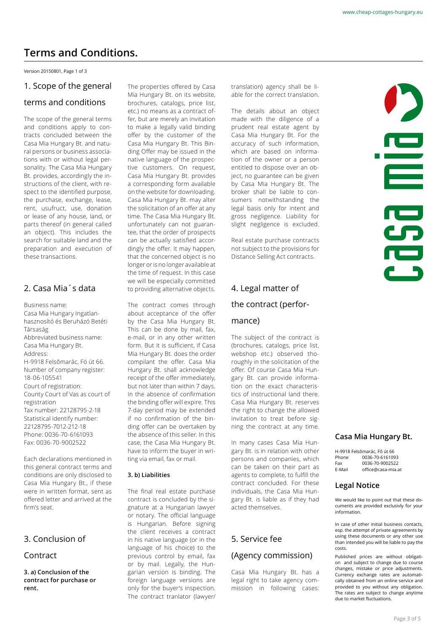# **Terms and Conditions.**

Version 20150801, Page 1 of 3

### 1. Scope of the general

### terms and conditions

The scope of the general terms and conditions apply to contracts concluded between the Casa Mia Hungary Bt. and natural persons or business associations with or without legal personality. The Casa Mia Hungary Bt. provides, accordingly the instructions of the client, with respect to the identified purpose, the purchase, exchange, lease, rent, usufruct, use, donation or lease of any house, land, or parts thereof (in general called an object). This includes the search for suitable land and the preparation and execution of these transactions.

### 2. Casa Mia´s data

Business name: Casa Mia Hungary Ingatlanhasznosító és Beruházó Betéti Társaság Abbreviated business name: Casa Mia Hungary Bt. Address: H-9918 Felsõmarác, Fö út 66. Number of company register: 18-06-105541 Court of registration: County Court of Vas as court of registration Tax number: 22128795-2-18 Statistical identify number: 22128795-7012-212-18 Phone: 0036-70-6161093 Fax: 0036-70-9002522

Each declarations mentioned in this general contract terms and conditions are only disclosed to Casa Mia Hungary Bt., if these were in written format, sent as offered letter and arrived at the firm's seat.

### 3. Conclusion of

### Contract

**3. a) Conclusion of the contract for purchase or rent.**

The properties offered by Casa Mia Hungary Bt. on its website, brochures, catalogs, price list, etc.) no means as a contract offer, but are merely an invitation to make a legally valid binding offer by the customer of the Casa Mia Hungary Bt. This Binding Offer may be issued in the native language of the prospective customers. On request, Casa Mia Hungary Bt. provides a corresponding form available on the website for downloading. Casa Mia Hungary Bt. may alter the solicitation of an offer at any time. The Casa Mia Hungary Bt. unfortunately can not guarantee, that the order of prospects can be actually satisfied accordingly the offer. It may happen, that the concerned object is no longer or is no longer available at the time of request. In this case we will be especially committed to providing alternative objects.

The contract comes through about acceptance of the offer by the Casa Mia Hungary Bt. This can be done by mail, fax, e-mail, or in any other written form. But it is sufficient, if Casa Mia Hungary Bt. does the order compilant the offer. Casa Mia Hungary Bt. shall acknowledge receipt of the offer immediately, but not later than within 7 days. In the absence of confirmation the binding offer will expire. This 7-day period may be extended if no confirmation of the binding offer can be overtaken by the absence of this seller. In this case, the Casa Mia Hungary Bt. have to inform the buyer in writing via email, fax or mail.

#### **3. b) Liabilities**

The final real estate purchase contract is concluded by the signature at a Hungarian lawyer or notary. The official language is Hungarian. Before signing the client receives a contract in his native language (or in the language of his choice) to the previous control by email, fax or by mail. Legally, the Hungarian version is binding. The foreign language versions are only for the buyer's inspection. The contract tranlator (lawyer/ translation) agency shall be liable for the correct translation.

The details about an object made with the diligence of a prudent real estate agent by Casa Mia Hungary Bt. For the accuracy of such information, which are based on information of the owner or a person entitled to dispose over an object, no guarantee can be given by Casa Mia Hungary Bt. The broker shall be liable to consumers notwithstanding the legal basis only for intent and gross negligence. Liability for slight negligence is excluded.

Real estate purchase contracts not subject to the provisions for Distance Selling Act contracts.

# 4. Legal matter of the contract (performance)

The subject of the contract is (brochures, catalogs, price list, webshop etc.) observed thoroughly in the solicitation of the offer. Of course Casa Mia Hungary Bt. can provide information on the exact characteristics of instructional land there. Casa Mia Hungary Bt. reserves the right to change the allowed invitation to treat before signing the contract at any time.

In many cases Casa Mia Hungary Bt. is in relation with other persons and companies, which can be taken on their part as agents to complete, to fulfill the contract concluded. For these individuals, the Casa Mia Hungary Bt. is liable as if they had acted themselves.

## 5. Service fee

### (Agency commission)

Casa Mia Hungary Bt. has a legal right to take agency commission in following cases: i **PO**<br>CO

#### **Casa Mia Hungary Bt.**

H-9918 Felsõmarác, Fõ út 66 0036-70-6161093 Fax 0036-70-9002522 E-Mail office@casa-mia.at

#### **Legal Notice**

We would like to point out that these documents are provided exclusivly for your information.

In case of other initial business contacts, esp. the attempt of private agreements by using these documents or any other use than intended you will be liable to pay the costs.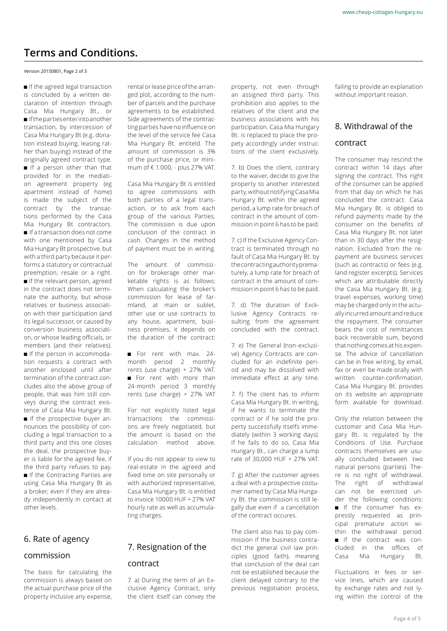# **Terms and Conditions.**

#### Version 20150801, Page 2 of 3

If the agreed legal transaction is concluded by a written declaration of intention through Casa Mia Hungary Bt., or If the parties enter into another transaction, by intercession of Casa Mia Hungary Bt (e.g. donation instead buying, leasing rather than buying) instead of the originally agreed contract type. If a person other than that provided for in the mediation agreement property (eg apartment instead of home) is made the subject of the contract by the transactions performed by the Casa Mia Hungary Bt contractors. If a transaction does not come with one mentioned by Casa Mia Hungary Bt prospective, but with a third party because it performs a statutory or contractual preemption, resale or a right. If the relevant person, agreed in the contract does not terminate the authority, but whose relatives or business association with their participation (and its legal successor, or caused by conversion business association, or whose leading officials, or members (and their relatives). If the person in accommodation requests a contract with another enclosed until after termination of the contract concludes also the above group of people, that was him still conveys during the contract existence of Casa Mia Hungary Bt. If the prospective buyer announces the possibility of concluding a legal transaction to a third party and this one closes the deal, the prospective buyer is liable for the agreed fee, if the third party refuses to pay. If the Contracting Parties are using Casa Mia Hungary Bt as a broker, even if they are already independently in contact at other levels.

### 6. Rate of agency

### commission

The basis for calculating the commission is always based on the actual purchase price of the property inclusive any expense, rental or lease price of the arranged plot, according to the number of parcels and the purchase agreements to be established. Side agreements of the contracting parties have no influence on the level of the service fee Casa Mia Hungary Bt. entiteld. The amount of commission is 3% of the purchase price, or minimum of € 1.000, - plus 27% VAT.

Casa Mia Hungary Bt is entitled to agree commissions with both parties of a legal transaction, or to ask from each group of the various Parties. The commission is due upon conclusion of the contract in cash. Changes in the method of payment must be in writing.

The amount of commission for brokerage other marketable rights is as follows: When calculating the broker's commission for lease of farmland, at main or sublet, other use or use contracts to any house, apartment, business premises, it depends on the duration of the contract:

For rent with max. 24month period 2 monthly rents (use charge) + 27% VAT. For rent with more than 24-month period 3 monthly rents (use charge) + 27% VAT

For not explicitly listed legal transactions the commissions are freely negotiated, but the amount is based on the calculation method above.

If you do not appear to view to real-estate in the agreed and fixed time on site personally or with authorized representative, Casa Mia Hungary Bt. is entitled to invoice 10000 HUF + 27% VAT hourly rate as well as accumulating charges.

# 7. Resignation of the

### contract

7. a) During the term of an Exclusive Agency Contract, only the client itself can convey the property, not even through an assigned third party. This prohibition also applies to the relatives of the client and the business associations with his participation. Casa Mia Hungary Bt. is replaced to place the propety accordingly under instructions of the client exclusively.

7. b) Does the client, contrary to the waiver, decide to give the property to another interested party, without notifying Casa Mia Hungary Bt. within the agreed period, a lump rate for breach of contract in the amount of commission in point 6 has to be paid.

7. c) If the Exclusive Agency Contract is terminated through no fault of Casa Mia Hungary Bt. by the contracting authority prematurely, a lump rate for breach of contract in the amount of commission in point 6 has to be paid.

7. d) The duration of Excklusive Agency Contracts resulting from the agreement concluded with the contract.

7. e) The General (non-exclusive) Agency Contracts are concluded for an indefinite period and may be dissolved with immediate effect at any time.

7. f) The client has to inform Casa Mia Hungary Bt. in writing, if he wants to terminate the contract or if he sold the property successfully itselfs immediately (within 3 working days). If he fails to do so, Casa Mia Hungary Bt., can charge a lump rate of 30,000 HUF + 27% VAT.

7. g) After the customer agrees a deal with a prospective costumer named by Casa Mia Hungary Bt. the commission is still legally due even if a cancellation of the contract occures.

The client also has to pay commission if the business contradict the general civil law principles (good faith), meaning that conclusion of the deal can not be established because the client delayed contrary to the previous negotiation process, failing to provide an explanation without important reason.

## 8. Withdrawal of the

#### contract

The consumer may rescind the contract within 14 days after signing the contract. This right of the consumer can be applied from that day on which he has concluded the contract. Casa Mia Hungary Bt. is obliged to refund payments made by the consumer on the benefits of Casa Mia Hungary Bt. not later than in 30 days after the resignation. Excluded from the repayment are business services (such as contracts) or fees (e.g. land register excerpts). Services which are attributable directly the Casa Mia Hungary Bt. (e.g. travel expenses, working time) may be charged only in the actually incurred amount and reduce the repayment. The consumer bears the cost of remittances back recoverable sum, beyond that nothing comes at his expense. The advice of cancellation can be in free writing, by email, fax or even be made orally with written counter-confirmation. Casa Mia Hungary Bt. provides on its website an appropriate form available for download.

Only the relation between the customer and Casa Mia Hungary Bt. is regulated by the Conditions of Use. Purchase contracts themselves are usually concluded between two natural persons (parties). There is no right of withdrawal. The right of withdrawal can not be exercised under the following conditions: If the consumer has expressly requested as principal premature action within the withdrawal period. If the contract was concluded in the offices of Casa Mia Hungary Bt.

Fluctuations in fees or service lines, which are caused by exchange rates and not lying within the control of the